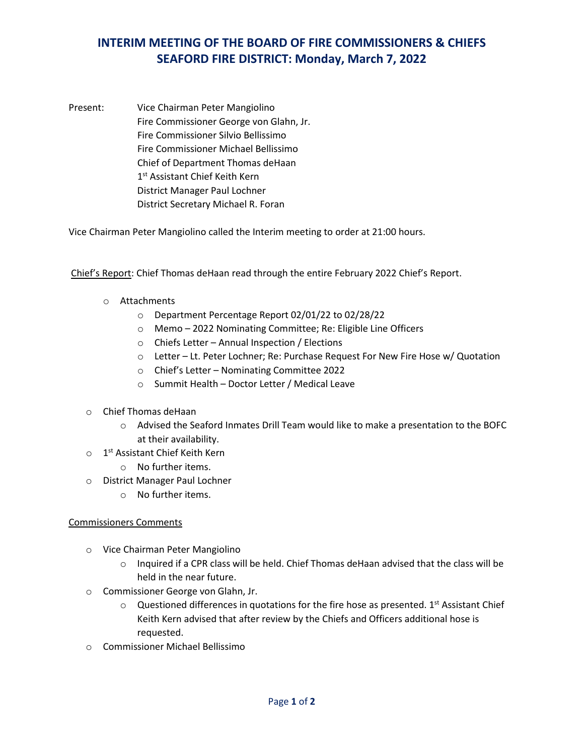## **INTERIM MEETING OF THE BOARD OF FIRE COMMISSIONERS & CHIEFS SEAFORD FIRE DISTRICT: Monday, March 7, 2022**

Present: Vice Chairman Peter Mangiolino Fire Commissioner George von Glahn, Jr. Fire Commissioner Silvio Bellissimo Fire Commissioner Michael Bellissimo Chief of Department Thomas deHaan 1<sup>st</sup> Assistant Chief Keith Kern District Manager Paul Lochner District Secretary Michael R. Foran

Vice Chairman Peter Mangiolino called the Interim meeting to order at 21:00 hours.

Chief's Report: Chief Thomas deHaan read through the entire February 2022 Chief's Report.

- o Attachments
	- o Department Percentage Report 02/01/22 to 02/28/22
	- o Memo 2022 Nominating Committee; Re: Eligible Line Officers
	- o Chiefs Letter Annual Inspection / Elections
	- o Letter Lt. Peter Lochner; Re: Purchase Request For New Fire Hose w/ Quotation
	- o Chief's Letter Nominating Committee 2022
	- o Summit Health Doctor Letter / Medical Leave
- o Chief Thomas deHaan
	- $\circ$  Advised the Seaford Inmates Drill Team would like to make a presentation to the BOFC at their availability.
- $\circ$  1<sup>st</sup> Assistant Chief Keith Kern
	- o No further items.
- o District Manager Paul Lochner
	- o No further items.

## Commissioners Comments

- o Vice Chairman Peter Mangiolino
	- $\circ$  Inquired if a CPR class will be held. Chief Thomas deHaan advised that the class will be held in the near future.
- o Commissioner George von Glahn, Jr.
	- $\circ$  Questioned differences in quotations for the fire hose as presented. 1<sup>st</sup> Assistant Chief Keith Kern advised that after review by the Chiefs and Officers additional hose is requested.
- o Commissioner Michael Bellissimo